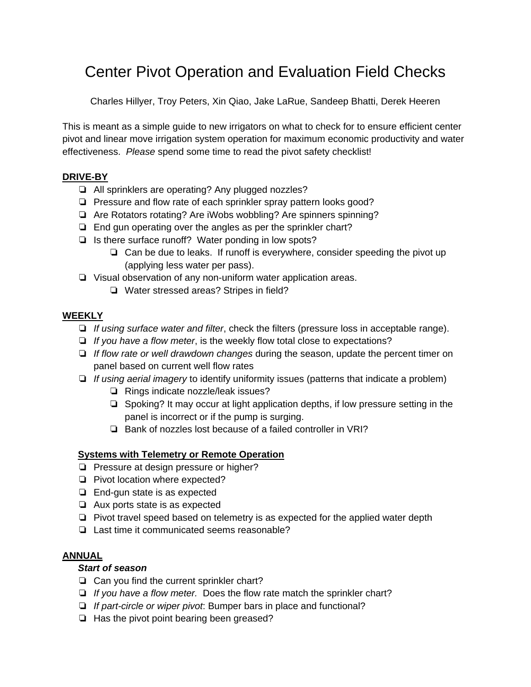# Center Pivot Operation and Evaluation Field Checks

Charles Hillyer, Troy Peters, Xin Qiao, Jake LaRue, Sandeep Bhatti, Derek Heeren

This is meant as a simple guide to new irrigators on what to check for to ensure efficient center pivot and linear move irrigation system operation for maximum economic productivity and water effectiveness. *Please* spend some time to read the pivot safety checklist!

# **DRIVE-BY**

- ❏ All sprinklers are operating? Any plugged nozzles?
- ❏ Pressure and flow rate of each sprinkler spray pattern looks good?
- ❏ Are Rotators rotating? Are iWobs wobbling? Are spinners spinning?
- ❏ End gun operating over the angles as per the sprinkler chart?
- ❏ Is there surface runoff? Water ponding in low spots?
	- ❏ Can be due to leaks. If runoff is everywhere, consider speeding the pivot up (applying less water per pass).
- ❏ Visual observation of any non-uniform water application areas.
	- ❏ Water stressed areas? Stripes in field?

## **WEEKLY**

- ❏ *If using surface water and filter*, check the filters (pressure loss in acceptable range).
- ❏ *If you have a flow meter*, is the weekly flow total close to expectations?
- ❏ *If flow rate or well drawdown changes* during the season, update the percent timer on panel based on current well flow rates
- ❏ *If using aerial imagery* to identify uniformity issues (patterns that indicate a problem)
	- ❏ Rings indicate nozzle/leak issues?
	- ❏ Spoking? It may occur at light application depths, if low pressure setting in the panel is incorrect or if the pump is surging.
	- ❏ Bank of nozzles lost because of a failed controller in VRI?

## **Systems with Telemetry or Remote Operation**

- ❏ Pressure at design pressure or higher?
- ❏ Pivot location where expected?
- ❏ End-gun state is as expected
- ❏ Aux ports state is as expected
- ❏ Pivot travel speed based on telemetry is as expected for the applied water depth
- ❏ Last time it communicated seems reasonable?

#### **ANNUAL**

#### *Start of season*

- ❏ Can you find the current sprinkler chart?
- ❏ *If you have a flow meter.* Does the flow rate match the sprinkler chart?
- ❏ *If part-circle or wiper pivot*: Bumper bars in place and functional?
- ❏ Has the pivot point bearing been greased?